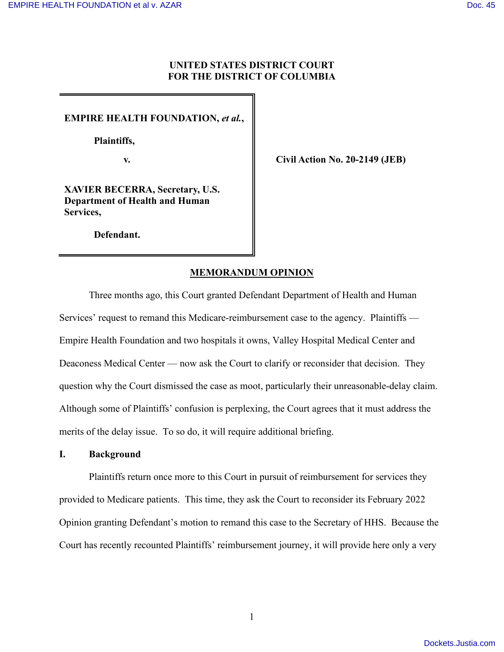## **UNITED STATES DISTRICT COURT FOR THE DISTRICT OF COLUMBIA**

**EMPIRE HEALTH FOUNDATION,** *et al.***,** 

 **Plaintiffs,** 

**v. Civil Action No. 20-2149 (JEB)**

**XAVIER BECERRA, Secretary, U.S. Department of Health and Human Services,** 

**Defendant.** 

# **MEMORANDUM OPINION**

Three months ago, this Court granted Defendant Department of Health and Human Services' request to remand this Medicare-reimbursement case to the agency. Plaintiffs — Empire Health Foundation and two hospitals it owns, Valley Hospital Medical Center and Deaconess Medical Center — now ask the Court to clarify or reconsider that decision. They question why the Court dismissed the case as moot, particularly their unreasonable-delay claim. Although some of Plaintiffs' confusion is perplexing, the Court agrees that it must address the merits of the delay issue. To so do, it will require additional briefing.

### **I. Background**

Plaintiffs return once more to this Court in pursuit of reimbursement for services they provided to Medicare patients. This time, they ask the Court to reconsider its February 2022 Opinion granting Defendant's motion to remand this case to the Secretary of HHS. Because the Court has recently recounted Plaintiffs' reimbursement journey, it will provide here only a very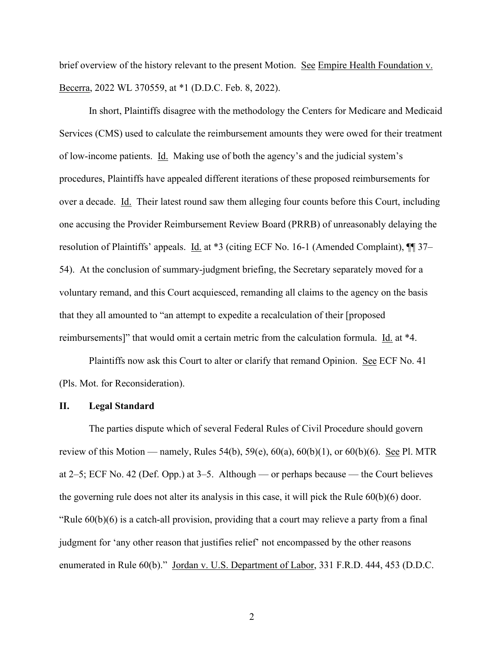brief overview of the history relevant to the present Motion. See Empire Health Foundation v. Becerra, 2022 WL 370559, at \*1 (D.D.C. Feb. 8, 2022).

 In short, Plaintiffs disagree with the methodology the Centers for Medicare and Medicaid Services (CMS) used to calculate the reimbursement amounts they were owed for their treatment of low-income patients. Id. Making use of both the agency's and the judicial system's procedures, Plaintiffs have appealed different iterations of these proposed reimbursements for over a decade. Id. Their latest round saw them alleging four counts before this Court, including one accusing the Provider Reimbursement Review Board (PRRB) of unreasonably delaying the resolution of Plaintiffs' appeals. Id. at \*3 (citing ECF No. 16-1 (Amended Complaint), ¶¶ 37– 54). At the conclusion of summary-judgment briefing, the Secretary separately moved for a voluntary remand, and this Court acquiesced, remanding all claims to the agency on the basis that they all amounted to "an attempt to expedite a recalculation of their [proposed reimbursements]" that would omit a certain metric from the calculation formula. Id. at \*4.

Plaintiffs now ask this Court to alter or clarify that remand Opinion. See ECF No. 41 (Pls. Mot. for Reconsideration).

#### **II. Legal Standard**

The parties dispute which of several Federal Rules of Civil Procedure should govern review of this Motion — namely, Rules 54(b), 59(e),  $60(a)$ ,  $60(b)(1)$ , or  $60(b)(6)$ . See Pl. MTR at 2–5; ECF No. 42 (Def. Opp.) at 3–5. Although — or perhaps because — the Court believes the governing rule does not alter its analysis in this case, it will pick the Rule 60(b)(6) door. "Rule 60(b)(6) is a catch-all provision, providing that a court may relieve a party from a final judgment for 'any other reason that justifies relief' not encompassed by the other reasons enumerated in Rule 60(b)." Jordan v. U.S. Department of Labor, 331 F.R.D. 444, 453 (D.D.C.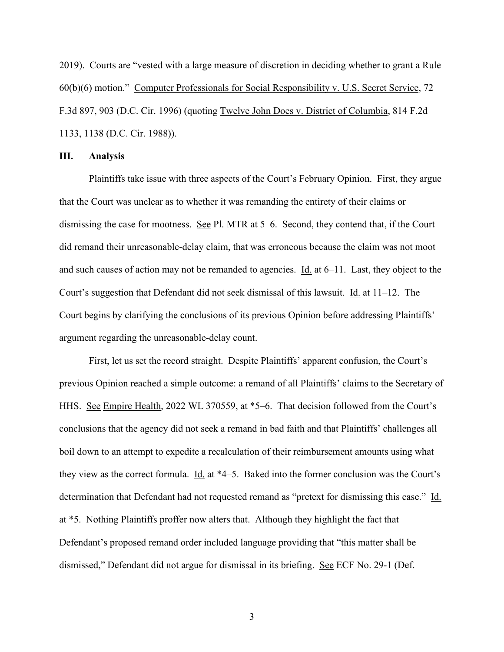2019). Courts are "vested with a large measure of discretion in deciding whether to grant a Rule 60(b)(6) motion." Computer Professionals for Social Responsibility v. U.S. Secret Service, 72 F.3d 897, 903 (D.C. Cir. 1996) (quoting Twelve John Does v. District of Columbia, 814 F.2d 1133, 1138 (D.C. Cir. 1988)).

#### **III. Analysis**

Plaintiffs take issue with three aspects of the Court's February Opinion. First, they argue that the Court was unclear as to whether it was remanding the entirety of their claims or dismissing the case for mootness. See Pl. MTR at 5–6. Second, they contend that, if the Court did remand their unreasonable-delay claim, that was erroneous because the claim was not moot and such causes of action may not be remanded to agencies.  $\underline{Id}$  at 6–11. Last, they object to the Court's suggestion that Defendant did not seek dismissal of this lawsuit. Id. at 11–12. The Court begins by clarifying the conclusions of its previous Opinion before addressing Plaintiffs' argument regarding the unreasonable-delay count.

First, let us set the record straight. Despite Plaintiffs' apparent confusion, the Court's previous Opinion reached a simple outcome: a remand of all Plaintiffs' claims to the Secretary of HHS. <u>See Empire Health</u>, 2022 WL 370559, at \*5–6. That decision followed from the Court's conclusions that the agency did not seek a remand in bad faith and that Plaintiffs' challenges all boil down to an attempt to expedite a recalculation of their reimbursement amounts using what they view as the correct formula.  $\underline{Id}$  at  $*4-5$ . Baked into the former conclusion was the Court's determination that Defendant had not requested remand as "pretext for dismissing this case." Id. at \*5. Nothing Plaintiffs proffer now alters that. Although they highlight the fact that Defendant's proposed remand order included language providing that "this matter shall be dismissed," Defendant did not argue for dismissal in its briefing. See ECF No. 29-1 (Def.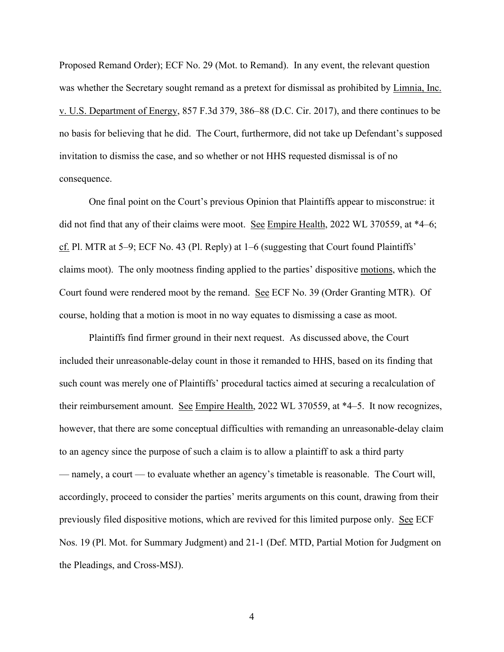Proposed Remand Order); ECF No. 29 (Mot. to Remand). In any event, the relevant question was whether the Secretary sought remand as a pretext for dismissal as prohibited by Limnia, Inc. v. U.S. Department of Energy, 857 F.3d 379, 386–88 (D.C. Cir. 2017), and there continues to be no basis for believing that he did. The Court, furthermore, did not take up Defendant's supposed invitation to dismiss the case, and so whether or not HHS requested dismissal is of no consequence.

 One final point on the Court's previous Opinion that Plaintiffs appear to misconstrue: it did not find that any of their claims were moot. See Empire Health, 2022 WL 370559, at \*4–6; cf. Pl. MTR at 5–9; ECF No. 43 (Pl. Reply) at 1–6 (suggesting that Court found Plaintiffs' claims moot). The only mootness finding applied to the parties' dispositive motions, which the Court found were rendered moot by the remand. See ECF No. 39 (Order Granting MTR). Of course, holding that a motion is moot in no way equates to dismissing a case as moot.

 Plaintiffs find firmer ground in their next request. As discussed above, the Court included their unreasonable-delay count in those it remanded to HHS, based on its finding that such count was merely one of Plaintiffs' procedural tactics aimed at securing a recalculation of their reimbursement amount. See Empire Health, 2022 WL 370559, at \*4–5. It now recognizes, however, that there are some conceptual difficulties with remanding an unreasonable-delay claim to an agency since the purpose of such a claim is to allow a plaintiff to ask a third party — namely, a court — to evaluate whether an agency's timetable is reasonable. The Court will, accordingly, proceed to consider the parties' merits arguments on this count, drawing from their previously filed dispositive motions, which are revived for this limited purpose only. See ECF Nos. 19 (Pl. Mot. for Summary Judgment) and 21-1 (Def. MTD, Partial Motion for Judgment on the Pleadings, and Cross-MSJ).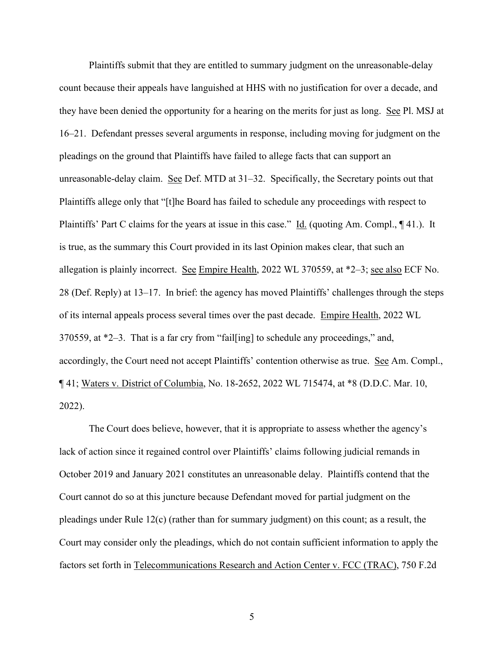Plaintiffs submit that they are entitled to summary judgment on the unreasonable-delay count because their appeals have languished at HHS with no justification for over a decade, and they have been denied the opportunity for a hearing on the merits for just as long. See Pl. MSJ at 16–21. Defendant presses several arguments in response, including moving for judgment on the pleadings on the ground that Plaintiffs have failed to allege facts that can support an unreasonable-delay claim. See Def. MTD at 31–32. Specifically, the Secretary points out that Plaintiffs allege only that "[t]he Board has failed to schedule any proceedings with respect to Plaintiffs' Part C claims for the years at issue in this case." Id. (quoting Am. Compl., ¶ 41.). It is true, as the summary this Court provided in its last Opinion makes clear, that such an allegation is plainly incorrect. See Empire Health, 2022 WL 370559, at  $*2-3$ ; see also ECF No. 28 (Def. Reply) at 13–17. In brief: the agency has moved Plaintiffs' challenges through the steps of its internal appeals process several times over the past decade. Empire Health, 2022 WL 370559, at \*2–3. That is a far cry from "fail[ing] to schedule any proceedings," and, accordingly, the Court need not accept Plaintiffs' contention otherwise as true. See Am. Compl., ¶ 41; Waters v. District of Columbia, No. 18-2652, 2022 WL 715474, at \*8 (D.D.C. Mar. 10, 2022).

 The Court does believe, however, that it is appropriate to assess whether the agency's lack of action since it regained control over Plaintiffs' claims following judicial remands in October 2019 and January 2021 constitutes an unreasonable delay. Plaintiffs contend that the Court cannot do so at this juncture because Defendant moved for partial judgment on the pleadings under Rule 12(c) (rather than for summary judgment) on this count; as a result, the Court may consider only the pleadings, which do not contain sufficient information to apply the factors set forth in Telecommunications Research and Action Center v. FCC (TRAC), 750 F.2d